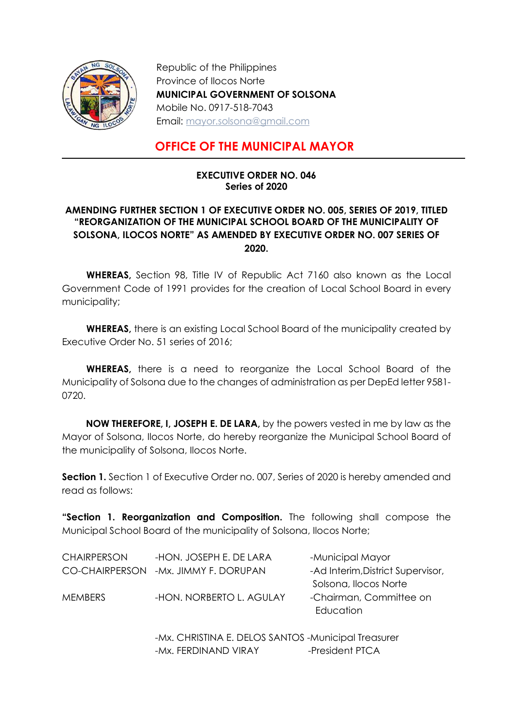

Republic of the Philippines Province of Ilocos Norte MUNICIPAL GOVERNMENT OF SOLSONA Mobile No. 0917-518-7043 Email: mayor.solsona@gmail.com

## OFFICE OF THE MUNICIPAL MAYOR

## EXECUTIVE ORDER NO. 046 Series of 2020

## AMENDING FURTHER SECTION 1 OF EXECUTIVE ORDER NO. 005, SERIES OF 2019, TITLED "REORGANIZATION OF THE MUNICIPAL SCHOOL BOARD OF THE MUNICIPALITY OF SOLSONA, ILOCOS NORTE" AS AMENDED BY EXECUTIVE ORDER NO. 007 SERIES OF 2020.

WHEREAS, Section 98, Title IV of Republic Act 7160 also known as the Local Government Code of 1991 provides for the creation of Local School Board in every municipality;

WHEREAS, there is an existing Local School Board of the municipality created by Executive Order No. 51 series of 2016;

WHEREAS, there is a need to reorganize the Local School Board of the Municipality of Solsona due to the changes of administration as per DepEd letter 9581- 0720.

 NOW THEREFORE, I, JOSEPH E. DE LARA, by the powers vested in me by law as the Mayor of Solsona, Ilocos Norte, do hereby reorganize the Municipal School Board of the municipality of Solsona, Ilocos Norte.

**Section 1.** Section 1 of Executive Order no. 007, Series of 2020 is hereby amended and read as follows:

"Section 1. Reorganization and Composition. The following shall compose the Municipal School Board of the municipality of Solsona, Ilocos Norte;

| <b>CHAIRPERSON</b> | -HON. JOSEPH E. DE LARA               | -Municipal Mayor                     |
|--------------------|---------------------------------------|--------------------------------------|
|                    | CO-CHAIRPERSON - Mx. JIMMY F. DORUPAN | -Ad Interim, District Supervisor,    |
|                    |                                       | Solsona, Ilocos Norte                |
| <b>MEMBERS</b>     | -HON. NORBERTO L. AGULAY              | -Chairman, Committee on<br>Education |

-Mx. CHRISTINA E. DELOS SANTOS -Municipal Treasurer -Mx. FERDINAND VIRAY -President PTCA